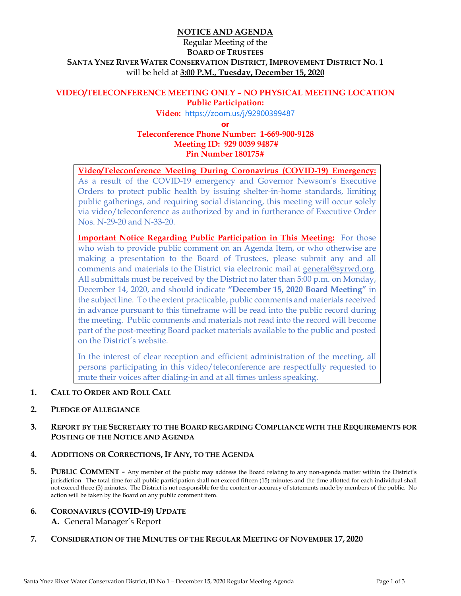## **NOTICE AND AGENDA**

# Regular Meeting of the **BOARD OF TRUSTEES SANTA YNEZ RIVER WATER CONSERVATION DISTRICT, IMPROVEMENT DISTRICT NO. 1**  will be held at **3:00 P.M., Tuesday, December 15, 2020**

#### **VIDEO/TELECONFERENCE MEETING ONLY – NO PHYSICAL MEETING LOCATION Public Participation:**

**Video:** https://zoom.us/j/92900399487

**or Teleconference Phone Number: 1-669-900-9128 Meeting ID: 929 0039 9487# Pin Number 180175#** 

**Video/Teleconference Meeting During Coronavirus (COVID-19) Emergency:** As a result of the COVID-19 emergency and Governor Newsom's Executive Orders to protect public health by issuing shelter-in-home standards, limiting public gatherings, and requiring social distancing, this meeting will occur solely via video/teleconference as authorized by and in furtherance of Executive Order Nos. N-29-20 and N-33-20.

**Important Notice Regarding Public Participation in This Meeting:** For those who wish to provide public comment on an Agenda Item, or who otherwise are making a presentation to the Board of Trustees, please submit any and all comments and materials to the District via electronic mail at general@syrwd.org. All submittals must be received by the District no later than 5:00 p.m. on Monday, December 14, 2020, and should indicate **"December 15, 2020 Board Meeting"** in the subject line. To the extent practicable, public comments and materials received in advance pursuant to this timeframe will be read into the public record during the meeting. Public comments and materials not read into the record will become part of the post-meeting Board packet materials available to the public and posted on the District's website.

In the interest of clear reception and efficient administration of the meeting, all persons participating in this video/teleconference are respectfully requested to mute their voices after dialing-in and at all times unless speaking.

- **1. CALL TO ORDER AND ROLL CALL**
- **2. PLEDGE OF ALLEGIANCE**

### **3. REPORT BY THE SECRETARY TO THE BOARD REGARDING COMPLIANCE WITH THE REQUIREMENTS FOR POSTING OF THE NOTICE AND AGENDA**

#### **4. ADDITIONS OR CORRECTIONS, IF ANY, TO THE AGENDA**

- **5. PUBLIC COMMENT** Any member of the public may address the Board relating to any non-agenda matter within the District's jurisdiction. The total time for all public participation shall not exceed fifteen (15) minutes and the time allotted for each individual shall not exceed three (3) minutes. The District is not responsible for the content or accuracy of statements made by members of the public. No action will be taken by the Board on any public comment item.
- **6. CORONAVIRUS (COVID-19) UPDATE A.** General Manager's Report
- **7. CONSIDERATION OF THE MINUTES OF THE REGULAR MEETING OF NOVEMBER 17, 2020**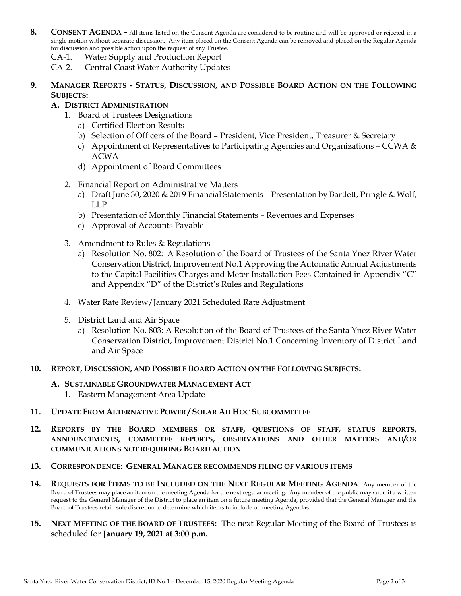- 8. CONSENT AGENDA All items listed on the Consent Agenda are considered to be routine and will be approved or rejected in a single motion without separate discussion. Any item placed on the Consent Agenda can be removed and placed on the Regular Agenda for discussion and possible action upon the request of any Trustee.
	- CA-1. Water Supply and Production Report
	- CA-2. Central Coast Water Authority Updates
- **9. MANAGER REPORTS - STATUS, DISCUSSION, AND POSSIBLE BOARD ACTION ON THE FOLLOWING SUBJECTS:**

## **A. DISTRICT ADMINISTRATION**

- 1. Board of Trustees Designations
	- a) Certified Election Results
	- b) Selection of Officers of the Board President, Vice President, Treasurer & Secretary
	- c) Appointment of Representatives to Participating Agencies and Organizations CCWA  $\&$ ACWA
	- d) Appointment of Board Committees
- 2. Financial Report on Administrative Matters
	- a) Draft June 30, 2020 & 2019 Financial Statements Presentation by Bartlett, Pringle & Wolf, LLP
	- b) Presentation of Monthly Financial Statements Revenues and Expenses
	- c) Approval of Accounts Payable
- 3. Amendment to Rules & Regulations
	- a) Resolution No. 802: A Resolution of the Board of Trustees of the Santa Ynez River Water Conservation District, Improvement No.1 Approving the Automatic Annual Adjustments to the Capital Facilities Charges and Meter Installation Fees Contained in Appendix "C" and Appendix "D" of the District's Rules and Regulations
- 4. Water Rate Review/January 2021 Scheduled Rate Adjustment
- 5. District Land and Air Space
	- a) Resolution No. 803: A Resolution of the Board of Trustees of the Santa Ynez River Water Conservation District, Improvement District No.1 Concerning Inventory of District Land and Air Space
- **10. REPORT, DISCUSSION, AND POSSIBLE BOARD ACTION ON THE FOLLOWING SUBJECTS:** 
	- **A. SUSTAINABLE GROUNDWATER MANAGEMENT ACT**
		- 1. Eastern Management Area Update
- **11. UPDATE FROM ALTERNATIVE POWER / SOLAR AD HOC SUBCOMMITTEE**
- **12. REPORTS BY THE BOARD MEMBERS OR STAFF, QUESTIONS OF STAFF, STATUS REPORTS, ANNOUNCEMENTS, COMMITTEE REPORTS, OBSERVATIONS AND OTHER MATTERS AND/OR COMMUNICATIONS NOT REQUIRING BOARD ACTION**
- **13. CORRESPONDENCE: GENERAL MANAGER RECOMMENDS FILING OF VARIOUS ITEMS**
- **14. REQUESTS FOR ITEMS TO BE INCLUDED ON THE NEXT REGULAR MEETING AGENDA:** Any member of the Board of Trustees may place an item on the meeting Agenda for the next regular meeting. Any member of the public may submit a written request to the General Manager of the District to place an item on a future meeting Agenda, provided that the General Manager and the Board of Trustees retain sole discretion to determine which items to include on meeting Agendas.
- **15. NEXT MEETING OF THE BOARD OF TRUSTEES:** The next Regular Meeting of the Board of Trustees is scheduled for **January 19, 2021 at 3:00 p.m.**